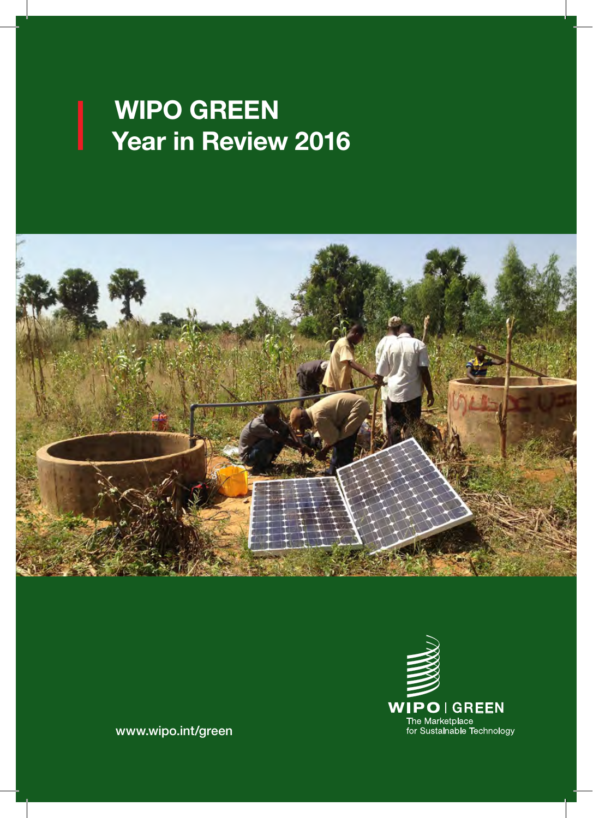#### WIP( Year in Review 201 WIPO GREEN Year in Review 2016





www.wipo.int/green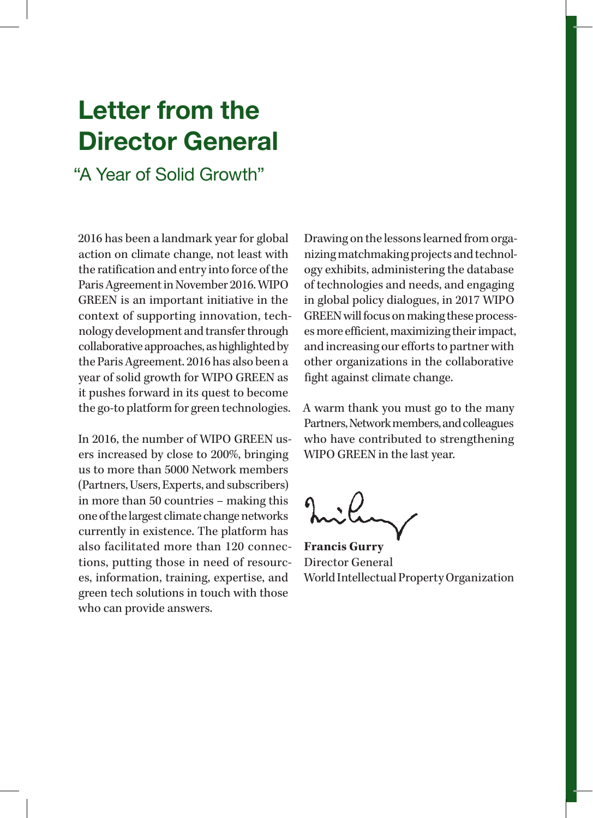### Letter from the Director General

"A Year of Solid Growth"

2016 has been a landmark year for global action on climate change, not least with the ratification and entry into force of the Paris Agreement in November 2016. WIPO GREEN is an important initiative in the context of supporting innovation, technology development and transfer through collaborative approaches, as highlighted by the Paris Agreement. 2016 has also been a year of solid growth for WIPO GREEN as it pushes forward in its quest to become the go-to platform for green technologies.

In 2016, the number of WIPO GREEN users increased by close to 200%, bringing us to more than 5000 Network members (Partners, Users, Experts, and subscribers) in more than 50 countries – making this one of the largest climate change networks currently in existence. The platform has also facilitated more than 120 connections, putting those in need of resources, information, training, expertise, and green tech solutions in touch with those who can provide answers.

Drawing on the lessons learned from organizing matchmaking projects and technology exhibits, administering the database of technologies and needs, and engaging in global policy dialogues, in 2017 WIPO GREEN will focus on making these processes more efficient, maximizing their impact, and increasing our efforts to partner with other organizations in the collaborative fight against climate change.

A warm thank you must go to the many Partners, Network members, and colleagues who have contributed to strengthening WIPO GREEN in the last year.

**Francis Gurry** Director General World Intellectual Property Organization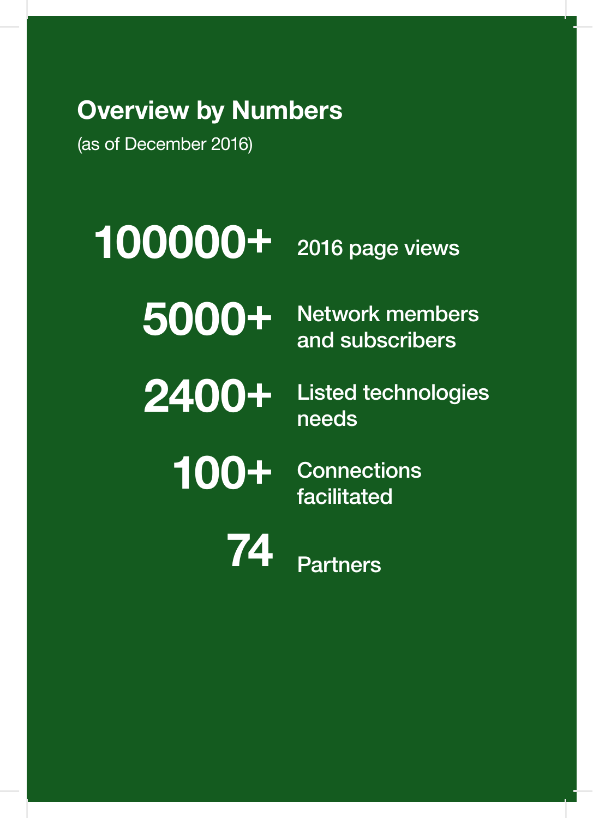# Overview by Numbers

(as of December 2016)

100000+ 2016 page views

5000+ Network members

and subscribers

2400+ Listed technologies needs

100+ Connections

74 Partners

facilitated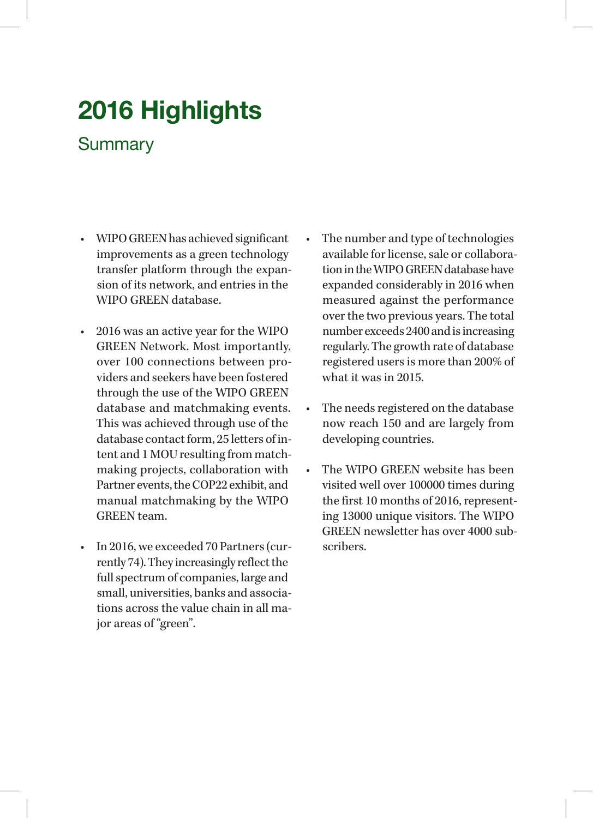## 2016 Highlights

### **Summary**

- WIPO GREEN has achieved significant improvements as a green technology transfer platform through the expansion of its network, and entries in the WIPO GREEN database.
- 2016 was an active year for the WIPO GREEN Network. Most importantly, over 100 connections between providers and seekers have been fostered through the use of the WIPO GREEN database and matchmaking events. This was achieved through use of the database contact form, 25 letters of intent and 1 MOU resulting from matchmaking projects, collaboration with Partner events, the COP22 exhibit, and manual matchmaking by the WIPO GREEN team.
- In 2016, we exceeded 70 Partners (currently 74). They increasingly reflect the full spectrum of companies, large and small, universities, banks and associations across the value chain in all major areas of "green".
- The number and type of technologies available for license, sale or collaboration in the WIPO GREEN database have expanded considerably in 2016 when measured against the performance over the two previous years. The total number exceeds 2400 and is increasing regularly. The growth rate of database registered users is more than 200% of what it was in 2015.
- The needs registered on the database now reach 150 and are largely from developing countries.
- The WIPO GREEN website has been visited well over 100000 times during the first 10 months of 2016, representing 13000 unique visitors. The WIPO GREEN newsletter has over 4000 subscribers.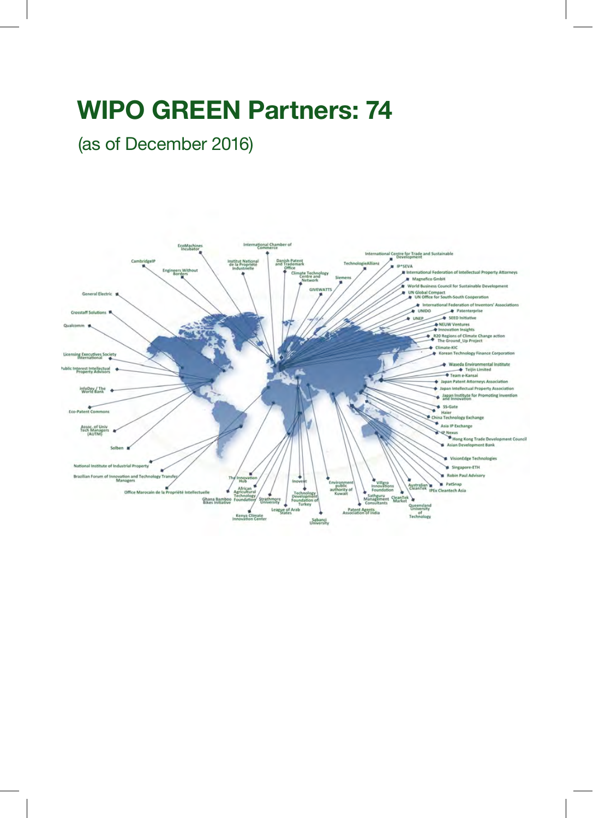### WIPO GREEN Partners: 74

(as of December 2016)

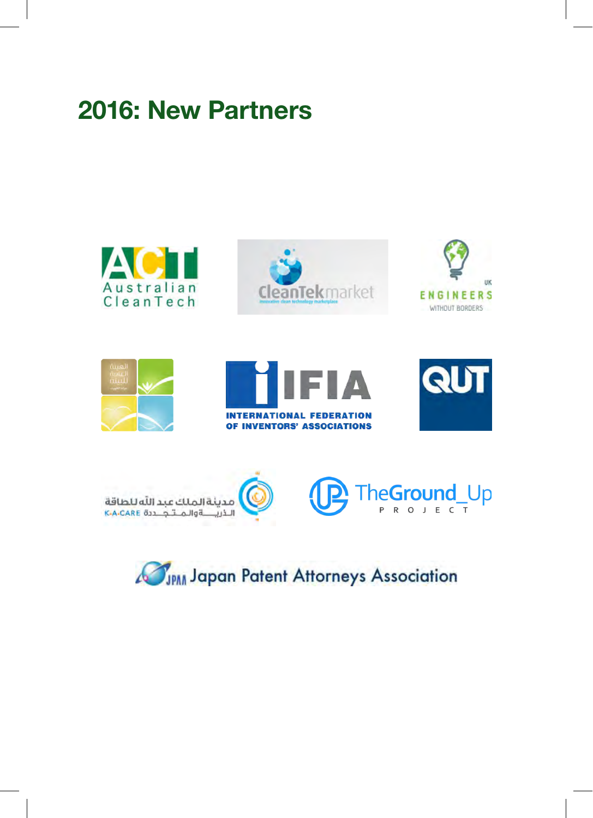### 2016: New Partners















### JPAN Japan Patent Attorneys Association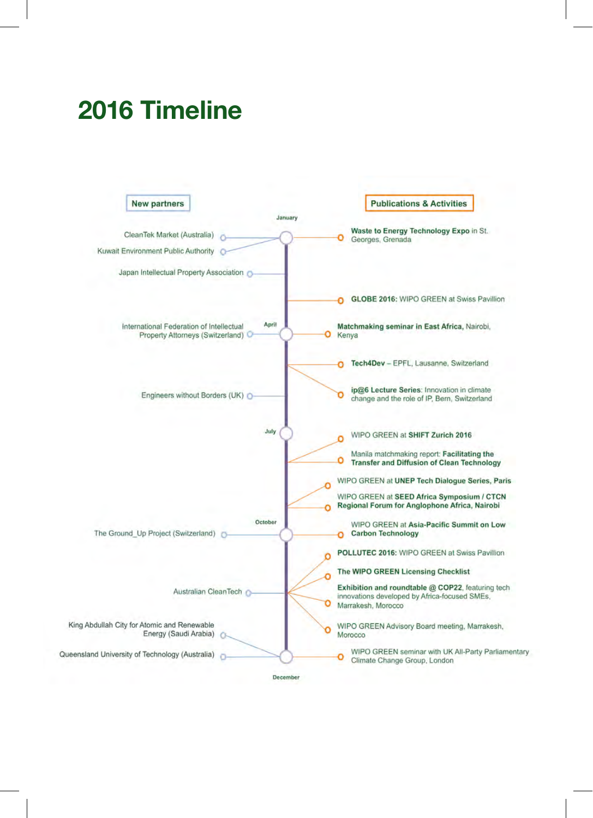### 2016 Timeline



December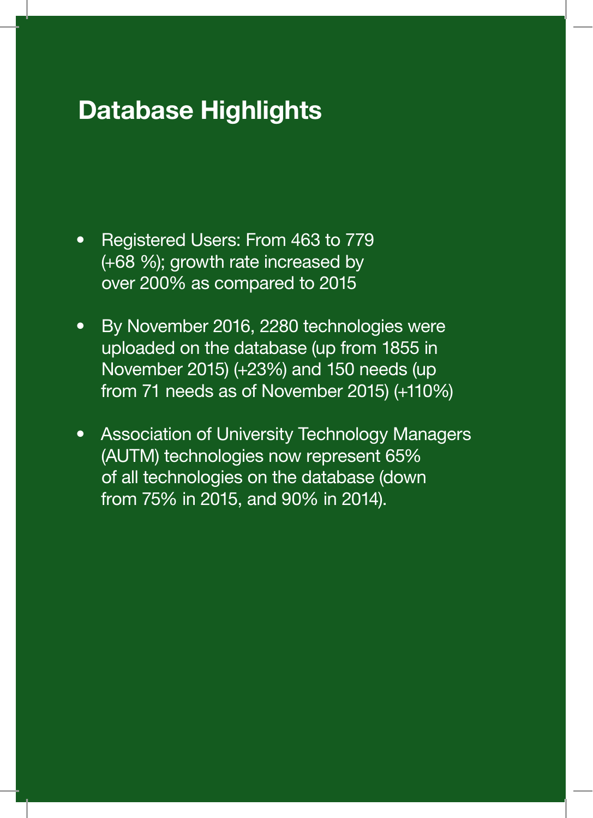### Database Highlights

- Registered Users: From 463 to 779 (+68 %); growth rate increased by over 200% as compared to 2015
- By November 2016, 2280 technologies were uploaded on the database (up from 1855 in November 2015) (+23%) and 150 needs (up from 71 needs as of November 2015) (+110%)
- Association of University Technology Managers (AUTM) technologies now represent 65% of all technologies on the database (down from 75% in 2015, and 90% in 2014).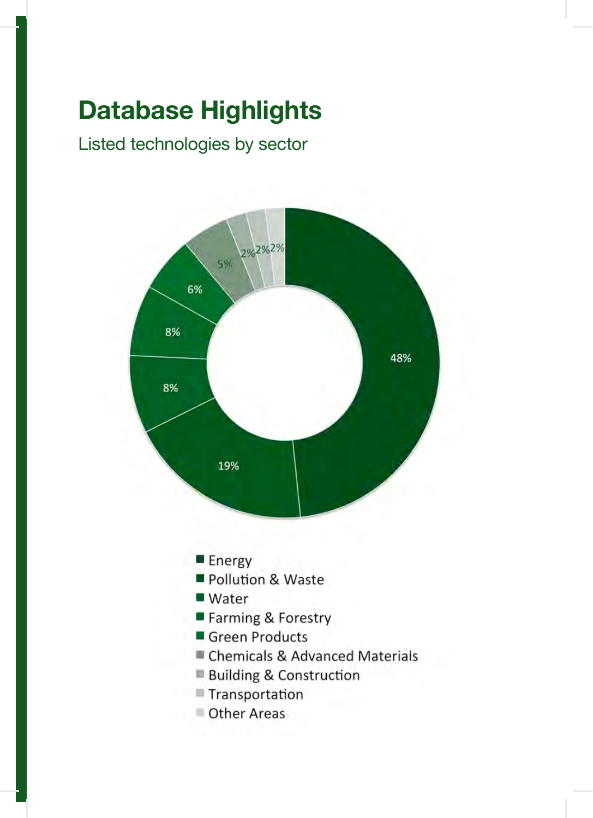## Database Highlights

Listed technologies by sector

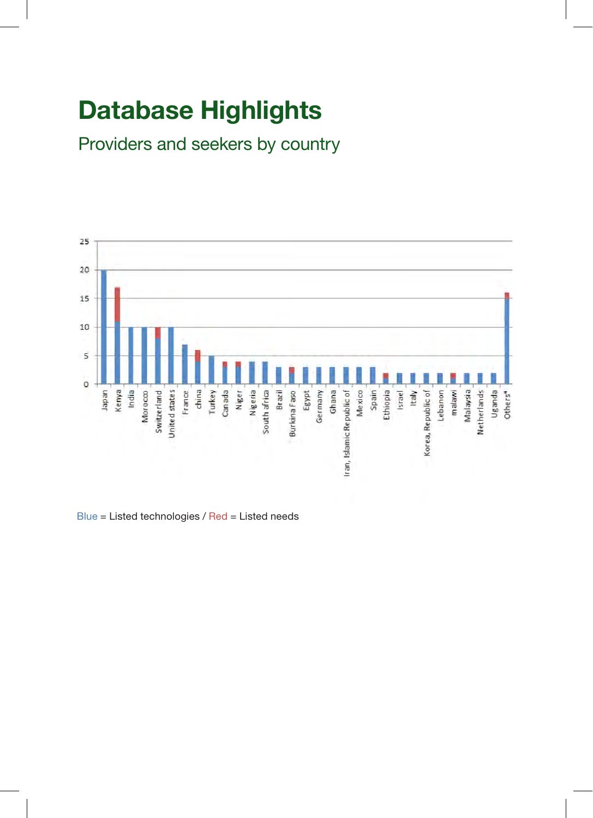## Database Highlights

Providers and seekers by country



Blue = Listed technologies / Red = Listed needs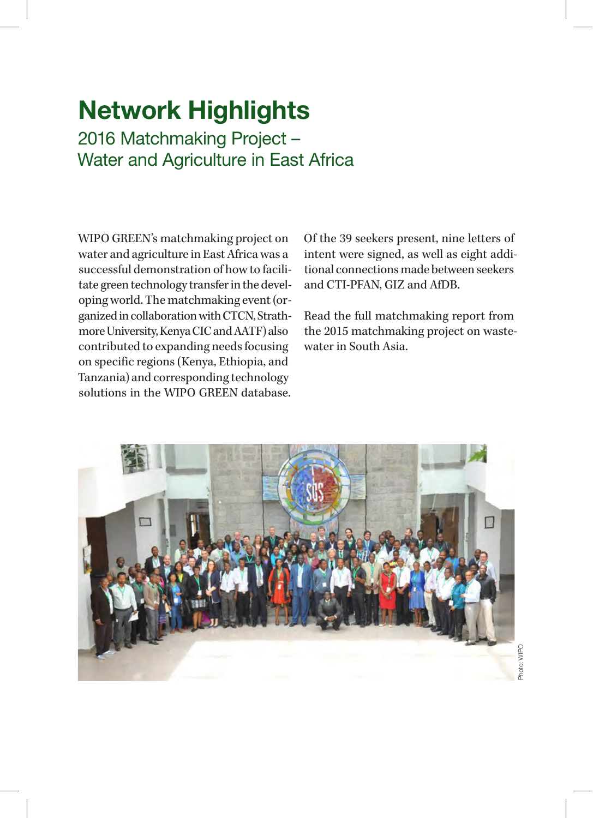2016 Matchmaking Project – Water and Agriculture in East Africa

WIPO GREEN's matchmaking project on water and agriculture in East Africa was a successful demonstration of how to facilitate green technology transfer in the developing world. The matchmaking event (organized in collaboration with CTCN, Strathmore University, Kenya CIC and AATF) also contributed to expanding needs focusing on specific regions (Kenya, Ethiopia, and Tanzania) and corresponding technology solutions in the WIPO GREEN database.

Of the 39 seekers present, nine letters of intent were signed, as well as eight additional connections made between seekers and CTI-PFAN, GIZ and AfDB.

Read the full matchmaking report from the 2015 matchmaking project on wastewater in South Asia.

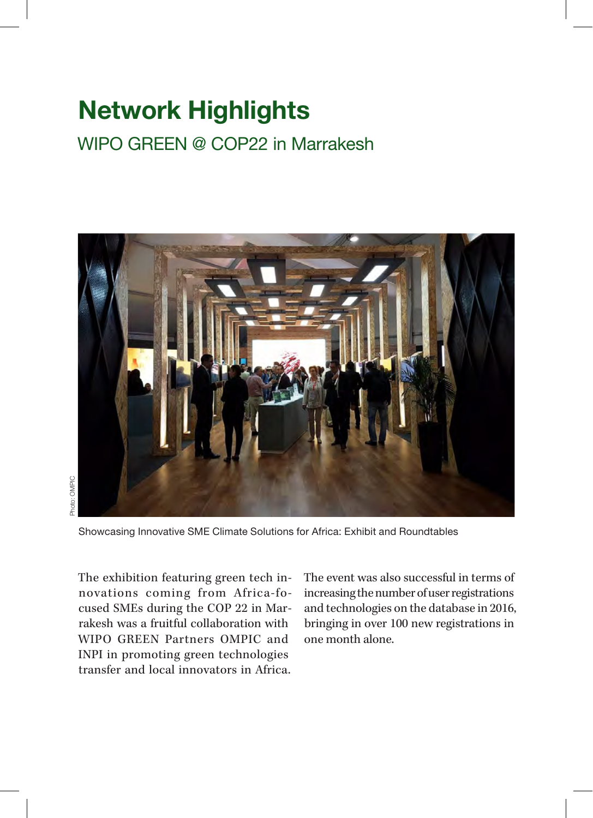### WIPO GREEN @ COP22 in Marrakesh



Photo: OMPIC Photo: OMPIC

Showcasing Innovative SME Climate Solutions for Africa: Exhibit and Roundtables

The exhibition featuring green tech innovations coming from Africa-focused SMEs during the COP 22 in Marrakesh was a fruitful collaboration with WIPO GREEN Partners OMPIC and INPI in promoting green technologies transfer and local innovators in Africa. The event was also successful in terms of increasing the number of user registrations and technologies on the database in 2016, bringing in over 100 new registrations in one month alone.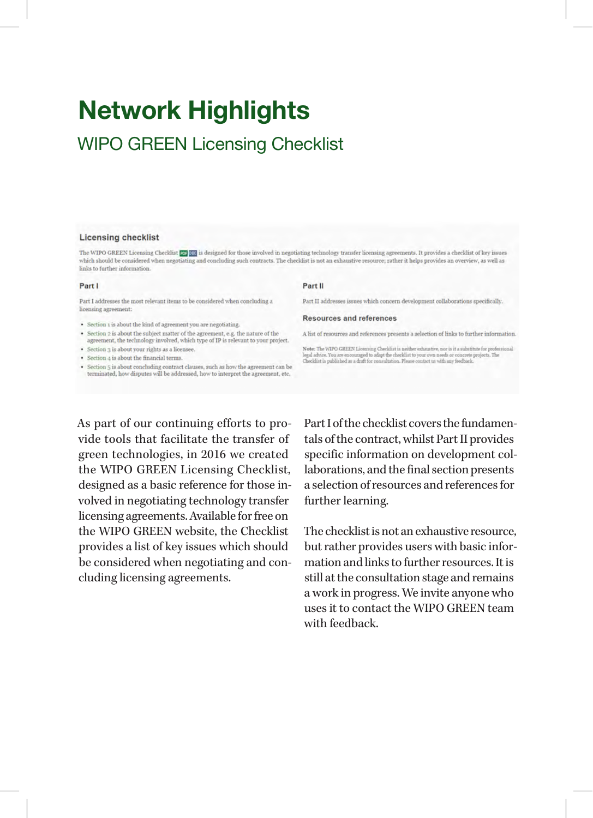### WIPO GREEN Licensing Checklist

#### Licensing checklist

The WIPO GREEN Licensing Checklist **159 000** is designed for those involved in negotiating technology transfer licensing agreements. It provides a checklist of key issues which should be considered when negotiating and concluding such contracts. The checklist is not an exhaustive resource; rather it helps provides an overview, as well as links to further information.

#### Part I

Part I addresses the most relevant items to be considered when concluding a licensing agreement:

- · Section 1 is about the kind of agreement you are negotiating.
- Section 2 is about the subject matter of the agreement, e.g. the nature of the agreement, the technology involved, which type of IP is relevant to your project.
- · Section 3 is about your rights as a licensee.
- · Section 4 is about the financial terms.
- · Section 5 is about concluding contract clauses, such as how the agreement can be terminated, how disputes will be addressed, how to interpret the agreement, etc.

#### Part II

Part II addresses issues which concern development collaborations specifically.

#### **Resources and references**

A list of resources and references presents a selection of links to further information.

Note: The WIPO GREEN Licensing Checklist is neither exhaustive, nor is it a substitute for professional legal advice. You are encouraged to adapt the checklist to you are no concrease projects. The Checklist is published

As part of our continuing efforts to provide tools that facilitate the transfer of green technologies, in 2016 we created the WIPO GREEN Licensing Checklist, designed as a basic reference for those involved in negotiating technology transfer licensing agreements. Available for free on the WIPO GREEN website, the Checklist provides a list of key issues which should be considered when negotiating and concluding licensing agreements.

Part I of the checklist covers the fundamentals of the contract, whilst Part II provides specific information on development collaborations, and the final section presents a selection of resources and references for further learning.

The checklist is not an exhaustive resource, but rather provides users with basic information and links to further resources. It is still at the consultation stage and remains a work in progress. We invite anyone who uses it to contact the WIPO GREEN team with feedback.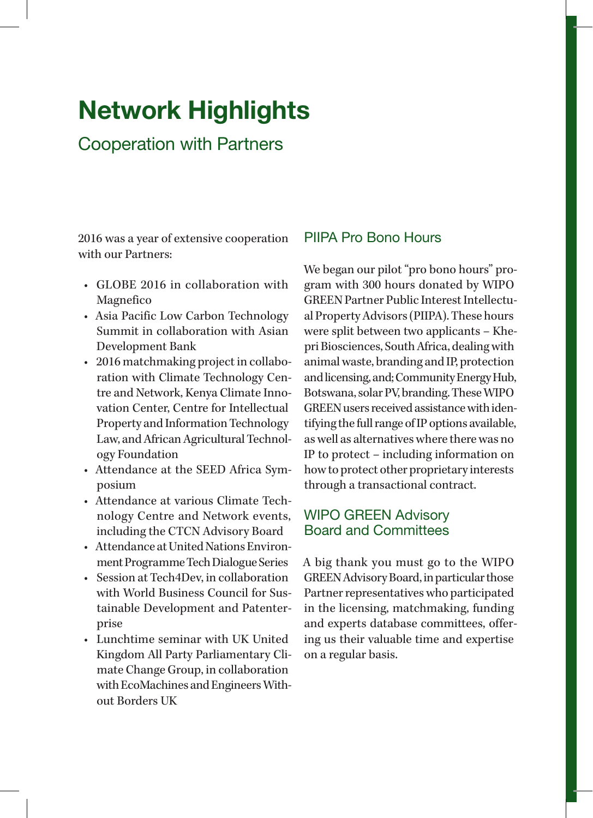### Cooperation with Partners

2016 was a year of extensive cooperation with our Partners:

- GLOBE 2016 in collaboration with Magnefico
- Asia Pacific Low Carbon Technology Summit in collaboration with Asian Development Bank
- 2016 matchmaking project in collaboration with Climate Technology Centre and Network, Kenya Climate Innovation Center, Centre for Intellectual Property and Information Technology Law, and African Agricultural Technology Foundation
- Attendance at the SEED Africa Symposium
- Attendance at various Climate Technology Centre and Network events, including the CTCN Advisory Board
- Attendance at United Nations Environment Programme Tech Dialogue Series
- Session at Tech4Dev, in collaboration with World Business Council for Sustainable Development and Patenterprise
- Lunchtime seminar with UK United Kingdom All Party Parliamentary Climate Change Group, in collaboration with EcoMachines and Engineers Without Borders UK

#### PIIPA Pro Bono Hours

We began our pilot "pro bono hours" program with 300 hours donated by WIPO GREEN Partner Public Interest Intellectual Property Advisors (PIIPA). These hours were split between two applicants – Khepri Biosciences, South Africa, dealing with animal waste, branding and IP, protection and licensing, and; Community Energy Hub, Botswana, solar PV, branding. These WIPO GREEN users received assistance with identifying the full range of IP options available, as well as alternatives where there was no IP to protect – including information on how to protect other proprietary interests through a transactional contract.

#### WIPO GREEN Advisory Board and Committees

A big thank you must go to the WIPO GREEN Advisory Board, in particular those Partner representatives who participated in the licensing, matchmaking, funding and experts database committees, offering us their valuable time and expertise on a regular basis.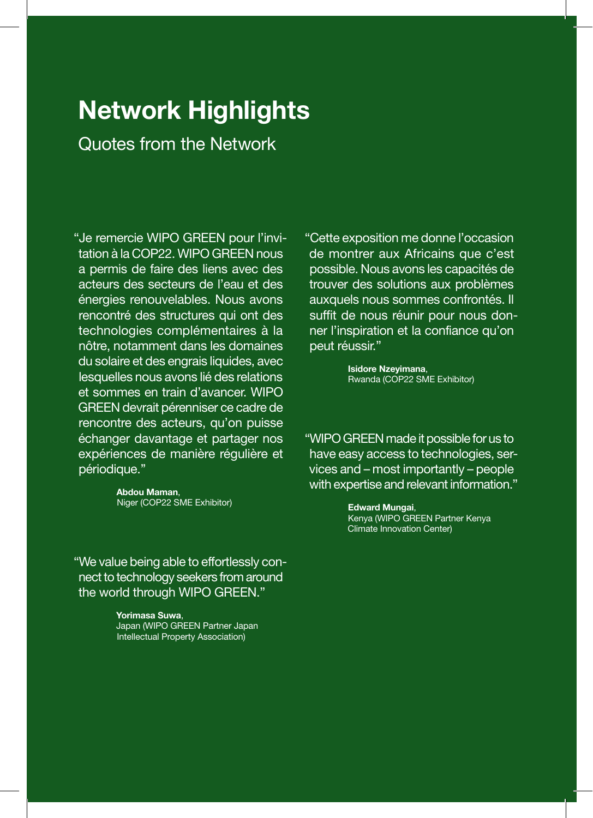Quotes from the Network

"Je remercie WIPO GREEN pour l'invitation à la COP22. WIPO GREEN nous a permis de faire des liens avec des acteurs des secteurs de l'eau et des énergies renouvelables. Nous avons rencontré des structures qui ont des technologies complémentaires à la nôtre, notamment dans les domaines du solaire et des engrais liquides, avec lesquelles nous avons lié des relations et sommes en train d'avancer. WIPO GREEN devrait pérenniser ce cadre de rencontre des acteurs, qu'on puisse échanger davantage et partager nos expériences de manière régulière et périodique.''

> Abdou Maman, Niger (COP22 SME Exhibitor)

"We value being able to effortlessly connect to technology seekers from around the world through WIPO GREEN."

> Yorimasa Suwa, Japan (WIPO GREEN Partner Japan Intellectual Property Association)

"Cette exposition me donne l'occasion de montrer aux Africains que c'est possible. Nous avons les capacités de trouver des solutions aux problèmes auxquels nous sommes confrontés. Il suffit de nous réunir pour nous donner l'inspiration et la confiance qu'on peut réussir."

> Isidore Nzeyimana, Rwanda (COP22 SME Exhibitor)

"WIPO GREEN made it possible for us to have easy access to technologies, services and – most importantly – people with expertise and relevant information."

> Edward Mungai, Kenya (WIPO GREEN Partner Kenya Climate Innovation Center)